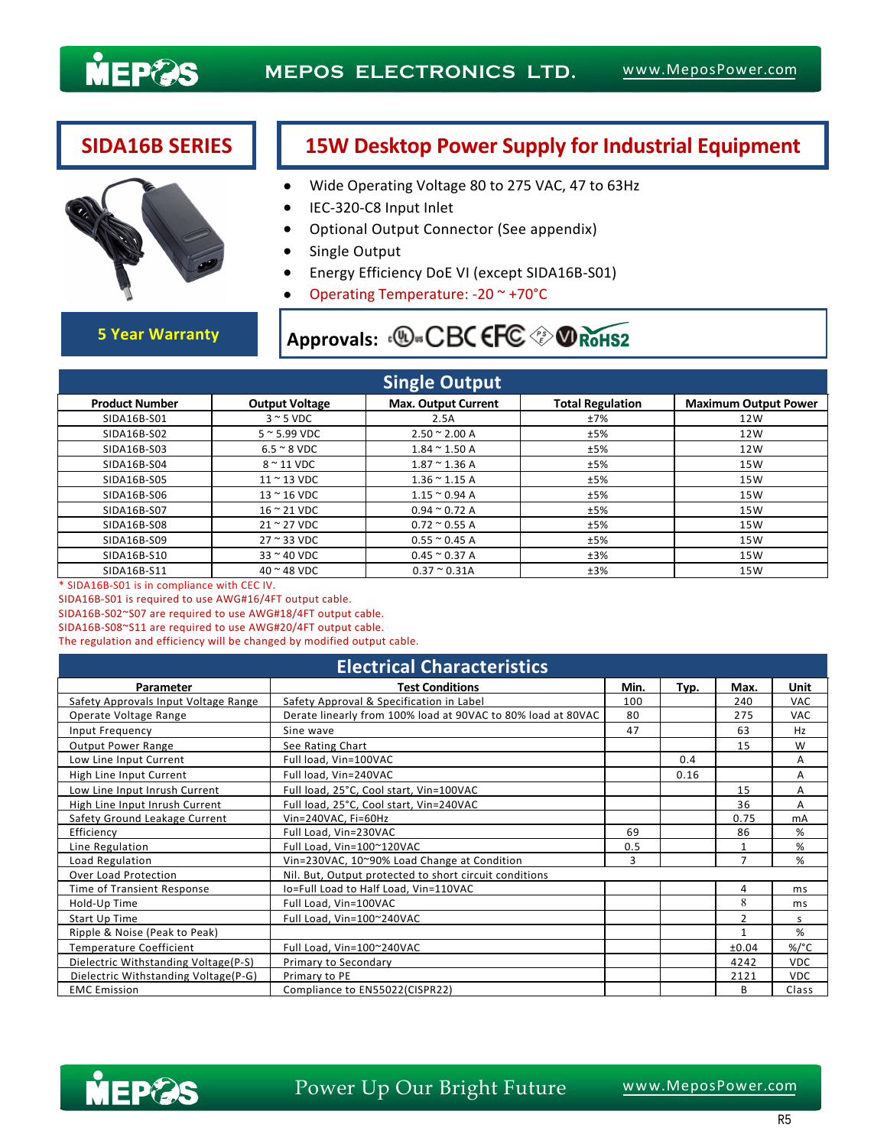

## **SIDA16B SERIES 15W Desktop Power Supply for Industrial Equipment**

- Wide Operating Voltage 80 to 275 VAC, 47 to 63Hz
- IEC-320-C8 Input Inlet
- Optional Output Connector (See appendix)
- Single Output
- Energy Efficiency DoE VI (except SIDA16B-S01)
- Operating Temperature: -20 ~ +70°C

# **5 Year Warranty Approvals: <b>D**. CBC EFC  $\circledast$  **O** RoHS2

| <b>Single Output</b>  |                             |                            |                         |                             |  |  |  |  |  |
|-----------------------|-----------------------------|----------------------------|-------------------------|-----------------------------|--|--|--|--|--|
| <b>Product Number</b> | <b>Output Voltage</b>       | <b>Max. Output Current</b> | <b>Total Regulation</b> | <b>Maximum Output Power</b> |  |  |  |  |  |
| SIDA16B-S01           | $3 \sim 5$ VDC              | 2.5A                       | ±7%                     | 12W                         |  |  |  |  |  |
| SIDA16B-S02           | $5 \approx 5.99$ VDC        | $2.50 \approx 2.00 A$      | ±5%                     | 12W                         |  |  |  |  |  |
| SIDA16B-S03           | $6.5 \approx 8$ VDC         | $1.84 \approx 1.50$ A      | ±5%                     | 12W                         |  |  |  |  |  |
| SIDA16B-S04           | $8 \sim 11$ VDC             | $1.87 \div 1.36$ A         | ±5%                     | 15W                         |  |  |  |  |  |
| SIDA16B-S05           | $11 \approx 13 \text{ VDC}$ | $1.36 \approx 1.15$ A      | ±5%                     | 15W                         |  |  |  |  |  |
| SIDA16B-S06           | $13 \approx 16$ VDC         | $1.15 \approx 0.94$ A      | ±5%                     | 15W                         |  |  |  |  |  |
| SIDA16B-S07           | $16 \approx 21$ VDC         | $0.94 \approx 0.72$ A      | ±5%                     | 15W                         |  |  |  |  |  |
| SIDA16B-S08           | $21 \approx 27$ VDC         | $0.72 \times 0.55$ A       | ±5%                     | 15W                         |  |  |  |  |  |
| SIDA16B-S09           | $27 \approx 33 \text{ VDC}$ | $0.55 \approx 0.45$ A      | ±5%                     | 15W                         |  |  |  |  |  |
| SIDA16B-S10           | $33 \approx 40$ VDC         | $0.45 \approx 0.37$ A      | ±3%                     | 15W                         |  |  |  |  |  |
| SIDA16B-S11           | $40$ $\sim$ 48 VDC          | $0.37 \approx 0.31A$       | ±3%                     | 15W                         |  |  |  |  |  |

\* SIDA16B-S01 is in compliance with CEC IV.

SIDA16B-S01 is required to use AWG#16/4FT output cable.

SIDA16B-S02~S07 are required to use AWG#18/4FT output cable.

SIDA16B-S08~S11 are required to use AWG#20/4FT output cable.

The regulation and efficiency will be changed by modified output cable.

| <b>Electrical Characteristics</b>    |                                                              |      |      |                |            |  |  |  |
|--------------------------------------|--------------------------------------------------------------|------|------|----------------|------------|--|--|--|
| Parameter                            | <b>Test Conditions</b>                                       | Min. | Typ. | Max.           | Unit       |  |  |  |
| Safety Approvals Input Voltage Range | Safety Approval & Specification in Label                     | 100  |      | 240            | <b>VAC</b> |  |  |  |
| Operate Voltage Range                | Derate linearly from 100% load at 90VAC to 80% load at 80VAC | 80   |      | 275            | <b>VAC</b> |  |  |  |
| Input Frequency                      | Sine wave                                                    | 47   |      | 63             | Hz         |  |  |  |
| <b>Output Power Range</b>            | See Rating Chart                                             |      |      | 15             | W          |  |  |  |
| Low Line Input Current               | Full load, Vin=100VAC                                        |      | 0.4  |                | A          |  |  |  |
| High Line Input Current              | Full load, Vin=240VAC                                        |      | 0.16 |                | A          |  |  |  |
| Low Line Input Inrush Current        | Full load, 25°C, Cool start, Vin=100VAC                      |      |      | 15             | А          |  |  |  |
| High Line Input Inrush Current       | Full load, 25°C, Cool start, Vin=240VAC                      |      |      | 36             | A          |  |  |  |
| Safety Ground Leakage Current        | Vin=240VAC, Fi=60Hz                                          |      |      | 0.75           | mA         |  |  |  |
| Efficiency                           | Full Load, Vin=230VAC                                        | 69   |      | 86             | %          |  |  |  |
| Line Regulation                      | Full Load, Vin=100~120VAC                                    | 0.5  |      |                | %          |  |  |  |
| Load Regulation                      | Vin=230VAC, 10~90% Load Change at Condition                  |      |      | $\overline{7}$ | %          |  |  |  |
| Over Load Protection                 | Nil. But, Output protected to short circuit conditions       |      |      |                |            |  |  |  |
| Time of Transient Response           | Io=Full Load to Half Load, Vin=110VAC                        |      |      | 4              | ms         |  |  |  |
| Hold-Up Time                         | Full Load, Vin=100VAC                                        |      |      | 8              | ms         |  |  |  |
| Start Up Time                        | Full Load, Vin=100~240VAC                                    |      |      | $\overline{2}$ | S.         |  |  |  |
| Ripple & Noise (Peak to Peak)        |                                                              |      |      | $\mathbf{1}$   | %          |  |  |  |
| Temperature Coefficient              | Full Load, Vin=100~240VAC                                    |      |      | ±0.04          | %/°C       |  |  |  |
| Dielectric Withstanding Voltage(P-S) | Primary to Secondary                                         |      |      | 4242           | <b>VDC</b> |  |  |  |
| Dielectric Withstanding Voltage(P-G) | Primary to PE                                                |      |      | 2121           | <b>VDC</b> |  |  |  |
| <b>EMC Emission</b>                  | Compliance to EN55022(CISPR22)                               |      |      | B              | Class      |  |  |  |